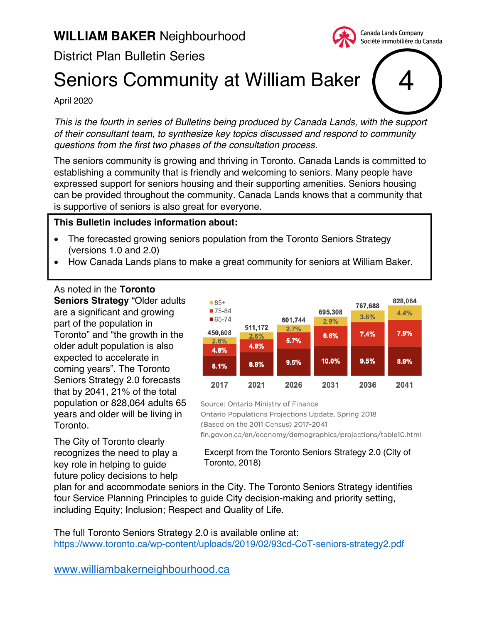# District Plan Bulletin Series

# Seniors Community at William Baker

#### April 2020

*This is the fourth in series of Bulletins being produced by Canada Lands, with the support of their consultant team, to synthesize key topics discussed and respond to community questions from the first two phases of the consultation process.*

The seniors community is growing and thriving in Toronto. Canada Lands is committed to establishing a community that is friendly and welcoming to seniors. Many people have expressed support for seniors housing and their supporting amenities. Seniors housing can be provided throughout the community. Canada Lands knows that a community that is supportive of seniors is also great for everyone.

#### **This Bulletin includes information about:**

- The forecasted growing seniors population from the Toronto Seniors Strategy (versions 1.0 and 2.0)
- How Canada Lands plans to make a great community for seniors at William Baker.

As noted in the **Toronto Seniors Strategy** "Older adults are a significant and growing part of the population in Toronto" and "the growth in the older adult population is also expected to accelerate in coming years". The Toronto Seniors Strategy 2.0 forecasts that by 2041, 21% of the total population or 828,064 adults 65 years and older will be living in Toronto.

The City of Toronto clearly recognizes the need to play a key role in helping to guide future policy decisions to help



4

Canada Lands Company Société immobilière du Canada

Source: Ontario Ministry of Finance

Ontario Populations Projections Update, Spring 2018

(Based on the 2011 Census) 2017-2041

fin.gov.on.ca/en/economy/demographics/projections/table10.html

#### Excerpt from the Toronto Seniors Strategy 2.0 (City of Toronto, 2018)

plan for and accommodate seniors in the City. The Toronto Seniors Strategy identifies four Service Planning Principles to guide City decision-making and priority setting, including Equity; Inclusion; Respect and Quality of Life.

The full Toronto Seniors Strategy 2.0 is available online at: https://www.toronto.ca/wp-content/uploads/2019/02/93cd-CoT-seniors-strategy2.pdf

www.williambakerneighbourhood.ca